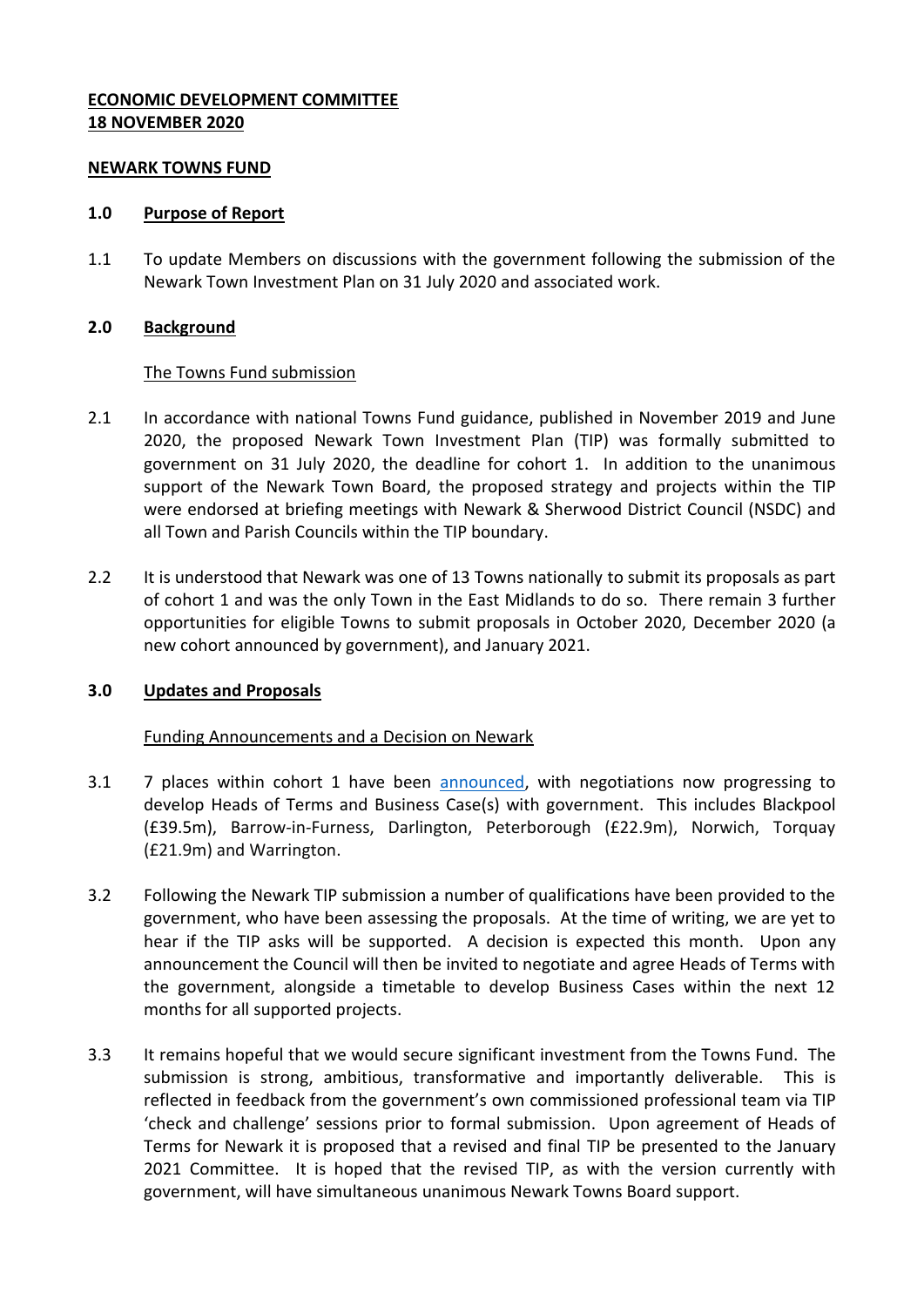## **ECONOMIC DEVELOPMENT COMMITTEE 18 NOVEMBER 2020**

#### **NEWARK TOWNS FUND**

#### **1.0 Purpose of Report**

1.1 To update Members on discussions with the government following the submission of the Newark Town Investment Plan on 31 July 2020 and associated work.

### **2.0 Background**

### The Towns Fund submission

- 2.1 In accordance with national Towns Fund guidance, published in November 2019 and June 2020, the proposed Newark Town Investment Plan (TIP) was formally submitted to government on 31 July 2020, the deadline for cohort 1. In addition to the unanimous support of the Newark Town Board, the proposed strategy and projects within the TIP were endorsed at briefing meetings with Newark & Sherwood District Council (NSDC) and all Town and Parish Councils within the TIP boundary.
- 2.2 It is understood that Newark was one of 13 Towns nationally to submit its proposals as part of cohort 1 and was the only Town in the East Midlands to do so. There remain 3 further opportunities for eligible Towns to submit proposals in October 2020, December 2020 (a new cohort announced by government), and January 2021.

### **3.0 Updates and Proposals**

### Funding Announcements and a Decision on Newark

- 3.1 7 places within cohort 1 have been [announced,](https://www.gov.uk/government/news/first-town-deals-worth-almost-180-million-announced) with negotiations now progressing to develop Heads of Terms and Business Case(s) with government. This includes Blackpool (£39.5m), Barrow-in-Furness, Darlington, Peterborough (£22.9m), Norwich, Torquay (£21.9m) and Warrington.
- 3.2 Following the Newark TIP submission a number of qualifications have been provided to the government, who have been assessing the proposals. At the time of writing, we are yet to hear if the TIP asks will be supported. A decision is expected this month. Upon any announcement the Council will then be invited to negotiate and agree Heads of Terms with the government, alongside a timetable to develop Business Cases within the next 12 months for all supported projects.
- 3.3 It remains hopeful that we would secure significant investment from the Towns Fund. The submission is strong, ambitious, transformative and importantly deliverable. This is reflected in feedback from the government's own commissioned professional team via TIP 'check and challenge' sessions prior to formal submission. Upon agreement of Heads of Terms for Newark it is proposed that a revised and final TIP be presented to the January 2021 Committee. It is hoped that the revised TIP, as with the version currently with government, will have simultaneous unanimous Newark Towns Board support.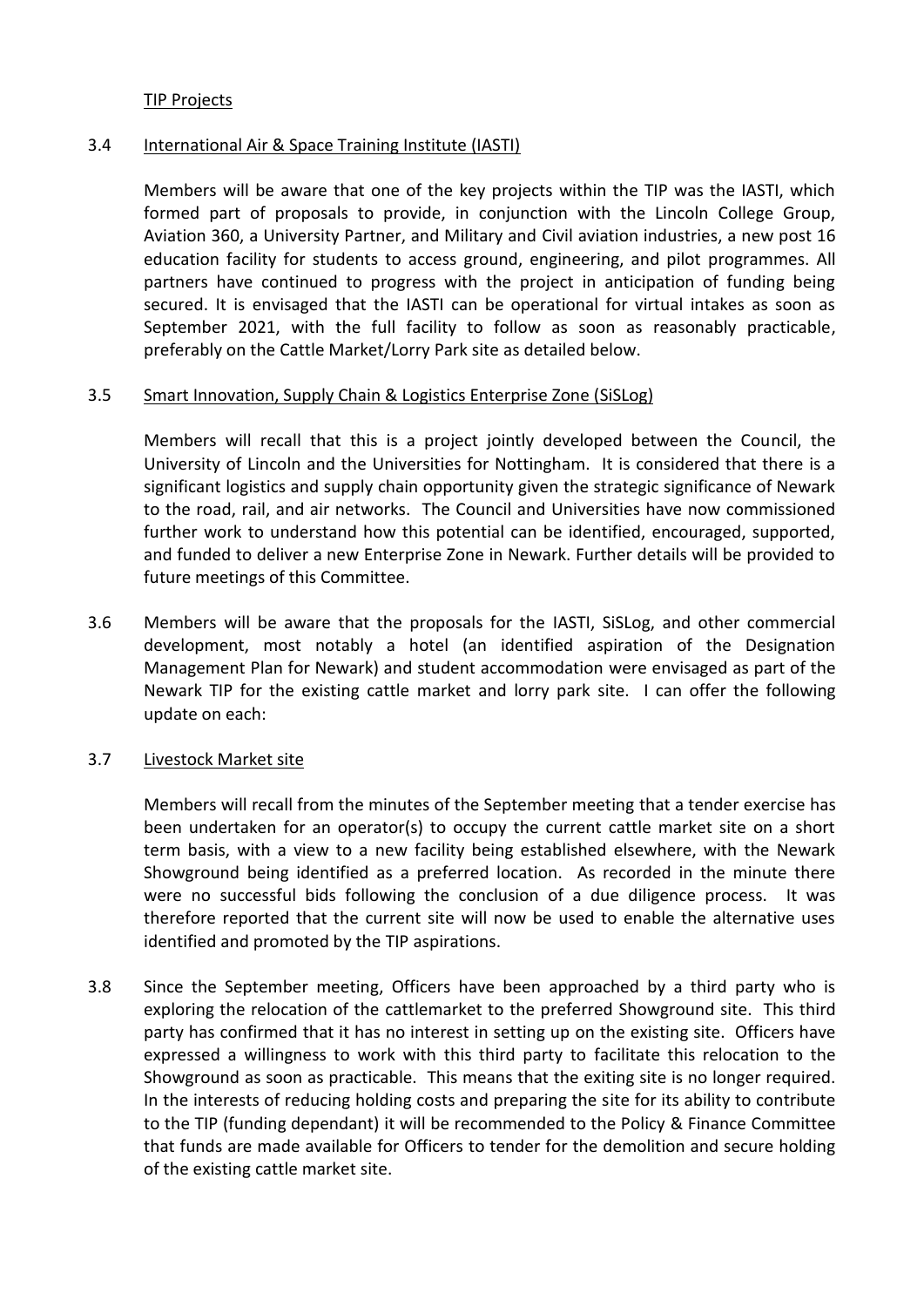### TIP Projects

### 3.4 International Air & Space Training Institute (IASTI)

Members will be aware that one of the key projects within the TIP was the IASTI, which formed part of proposals to provide, in conjunction with the Lincoln College Group, Aviation 360, a University Partner, and Military and Civil aviation industries, a new post 16 education facility for students to access ground, engineering, and pilot programmes. All partners have continued to progress with the project in anticipation of funding being secured. It is envisaged that the IASTI can be operational for virtual intakes as soon as September 2021, with the full facility to follow as soon as reasonably practicable, preferably on the Cattle Market/Lorry Park site as detailed below.

#### 3.5 Smart Innovation, Supply Chain & Logistics Enterprise Zone (SiSLog)

Members will recall that this is a project jointly developed between the Council, the University of Lincoln and the Universities for Nottingham. It is considered that there is a significant logistics and supply chain opportunity given the strategic significance of Newark to the road, rail, and air networks. The Council and Universities have now commissioned further work to understand how this potential can be identified, encouraged, supported, and funded to deliver a new Enterprise Zone in Newark. Further details will be provided to future meetings of this Committee.

3.6 Members will be aware that the proposals for the IASTI, SiSLog, and other commercial development, most notably a hotel (an identified aspiration of the Designation Management Plan for Newark) and student accommodation were envisaged as part of the Newark TIP for the existing cattle market and lorry park site. I can offer the following update on each:

### 3.7 Livestock Market site

Members will recall from the minutes of the September meeting that a tender exercise has been undertaken for an operator(s) to occupy the current cattle market site on a short term basis, with a view to a new facility being established elsewhere, with the Newark Showground being identified as a preferred location. As recorded in the minute there were no successful bids following the conclusion of a due diligence process. It was therefore reported that the current site will now be used to enable the alternative uses identified and promoted by the TIP aspirations.

3.8 Since the September meeting, Officers have been approached by a third party who is exploring the relocation of the cattlemarket to the preferred Showground site. This third party has confirmed that it has no interest in setting up on the existing site. Officers have expressed a willingness to work with this third party to facilitate this relocation to the Showground as soon as practicable. This means that the exiting site is no longer required. In the interests of reducing holding costs and preparing the site for its ability to contribute to the TIP (funding dependant) it will be recommended to the Policy & Finance Committee that funds are made available for Officers to tender for the demolition and secure holding of the existing cattle market site.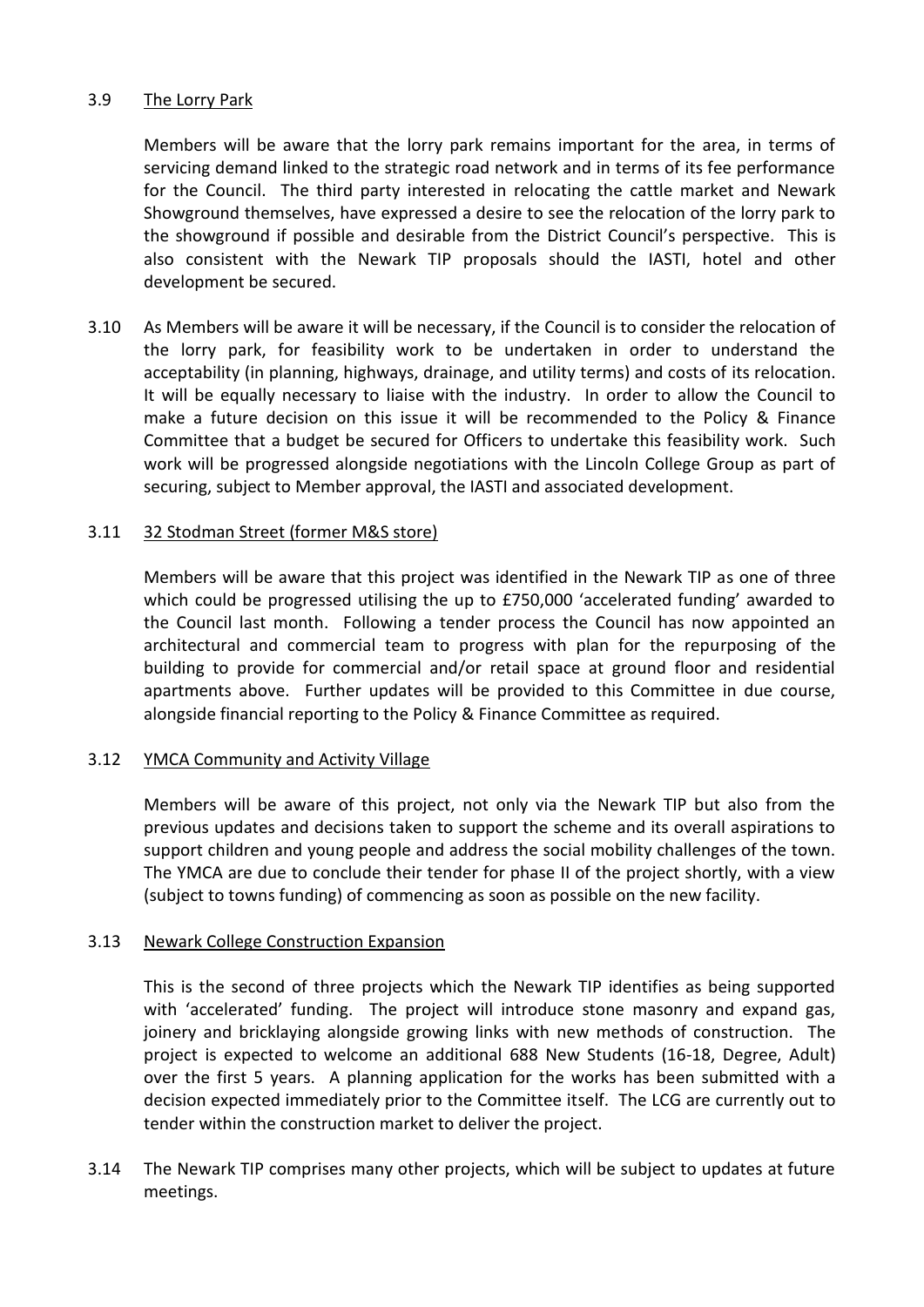## 3.9 The Lorry Park

Members will be aware that the lorry park remains important for the area, in terms of servicing demand linked to the strategic road network and in terms of its fee performance for the Council. The third party interested in relocating the cattle market and Newark Showground themselves, have expressed a desire to see the relocation of the lorry park to the showground if possible and desirable from the District Council's perspective. This is also consistent with the Newark TIP proposals should the IASTI, hotel and other development be secured.

3.10 As Members will be aware it will be necessary, if the Council is to consider the relocation of the lorry park, for feasibility work to be undertaken in order to understand the acceptability (in planning, highways, drainage, and utility terms) and costs of its relocation. It will be equally necessary to liaise with the industry. In order to allow the Council to make a future decision on this issue it will be recommended to the Policy & Finance Committee that a budget be secured for Officers to undertake this feasibility work. Such work will be progressed alongside negotiations with the Lincoln College Group as part of securing, subject to Member approval, the IASTI and associated development.

## 3.11 32 Stodman Street (former M&S store)

Members will be aware that this project was identified in the Newark TIP as one of three which could be progressed utilising the up to £750,000 'accelerated funding' awarded to the Council last month. Following a tender process the Council has now appointed an architectural and commercial team to progress with plan for the repurposing of the building to provide for commercial and/or retail space at ground floor and residential apartments above. Further updates will be provided to this Committee in due course, alongside financial reporting to the Policy & Finance Committee as required.

### 3.12 YMCA Community and Activity Village

Members will be aware of this project, not only via the Newark TIP but also from the previous updates and decisions taken to support the scheme and its overall aspirations to support children and young people and address the social mobility challenges of the town. The YMCA are due to conclude their tender for phase II of the project shortly, with a view (subject to towns funding) of commencing as soon as possible on the new facility.

### 3.13 Newark College Construction Expansion

This is the second of three projects which the Newark TIP identifies as being supported with 'accelerated' funding. The project will introduce stone masonry and expand gas, joinery and bricklaying alongside growing links with new methods of construction. The project is expected to welcome an additional 688 New Students (16-18, Degree, Adult) over the first 5 years. A planning application for the works has been submitted with a decision expected immediately prior to the Committee itself. The LCG are currently out to tender within the construction market to deliver the project.

3.14 The Newark TIP comprises many other projects, which will be subject to updates at future meetings.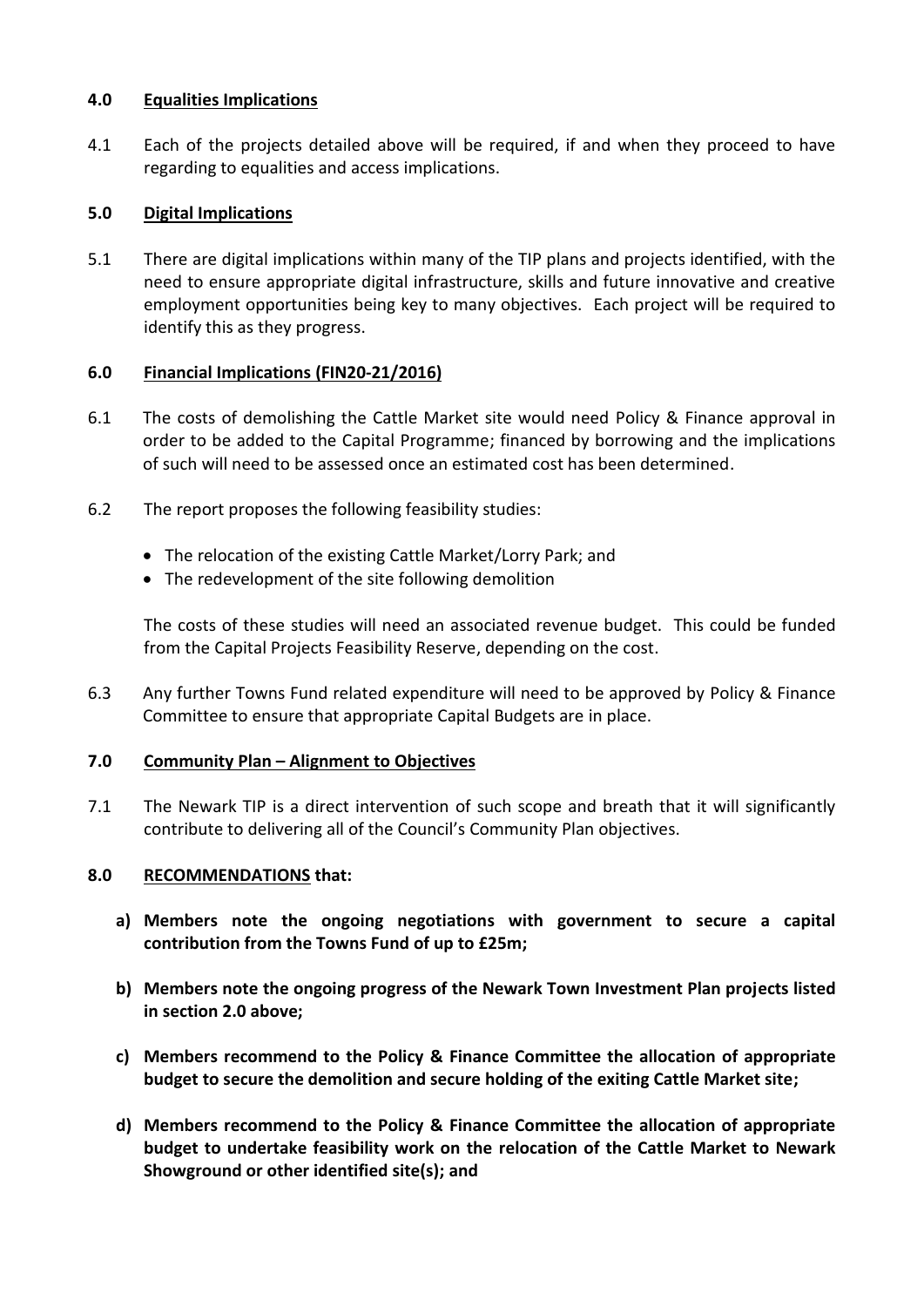## **4.0 Equalities Implications**

4.1 Each of the projects detailed above will be required, if and when they proceed to have regarding to equalities and access implications.

# **5.0 Digital Implications**

5.1 There are digital implications within many of the TIP plans and projects identified, with the need to ensure appropriate digital infrastructure, skills and future innovative and creative employment opportunities being key to many objectives. Each project will be required to identify this as they progress.

# **6.0 Financial Implications (FIN20-21/2016)**

- 6.1 The costs of demolishing the Cattle Market site would need Policy & Finance approval in order to be added to the Capital Programme; financed by borrowing and the implications of such will need to be assessed once an estimated cost has been determined.
- 6.2 The report proposes the following feasibility studies:
	- The relocation of the existing Cattle Market/Lorry Park; and
	- The redevelopment of the site following demolition

The costs of these studies will need an associated revenue budget. This could be funded from the Capital Projects Feasibility Reserve, depending on the cost.

6.3 Any further Towns Fund related expenditure will need to be approved by Policy & Finance Committee to ensure that appropriate Capital Budgets are in place.

# **7.0 Community Plan – Alignment to Objectives**

7.1 The Newark TIP is a direct intervention of such scope and breath that it will significantly contribute to delivering all of the Council's Community Plan objectives.

# **8.0 RECOMMENDATIONS that:**

- **a) Members note the ongoing negotiations with government to secure a capital contribution from the Towns Fund of up to £25m;**
- **b) Members note the ongoing progress of the Newark Town Investment Plan projects listed in section 2.0 above;**
- **c) Members recommend to the Policy & Finance Committee the allocation of appropriate budget to secure the demolition and secure holding of the exiting Cattle Market site;**
- **d) Members recommend to the Policy & Finance Committee the allocation of appropriate budget to undertake feasibility work on the relocation of the Cattle Market to Newark Showground or other identified site(s); and**